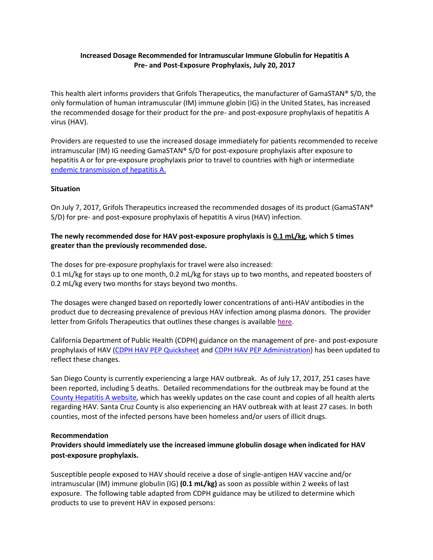## **Increased Dosage Recommended for Intramuscular Immune Globulin for Hepatitis A Pre- and Post-Exposure Prophylaxis, July 20, 2017**

This health alert informs providers that Grifols Therapeutics, the manufacturer of GamaSTAN® S/D, the only formulation of human intramuscular (IM) immune globin (IG) in the United States, has increased the recommended dosage for their product for the pre- and post-exposure prophylaxis of hepatitis A virus (HAV).

Providers are requested to use the increased dosage immediately for patients recommended to receive intramuscular (IM) IG needing GamaSTAN® S/D for post-exposure prophylaxis after exposure to hepatitis A or for pre-exposure prophylaxis prior to travel to countries with high or intermediate [endemic transmission of hepatitis A.](https://www.cdc.gov/mmwr/preview/mmwrhtml/rr5507a1.htm#fig4)

## **Situation**

On July 7, 2017, Grifols Therapeutics increased the recommended dosages of its product (GamaSTAN® S/D) for pre- and post-exposure prophylaxis of hepatitis A virus (HAV) infection.

# **The newly recommended dose for HAV post-exposure prophylaxis is 0.1 mL/kg, which 5 times greater than the previously recommended dose.**

The doses for pre-exposure prophylaxis for travel were also increased: 0.1 mL/kg for stays up to one month, 0.2 mL/kg for stays up to two months, and repeated boosters of 0.2 mL/kg every two months for stays beyond two months.

The dosages were changed based on reportedly lower concentrations of anti-HAV antibodies in the product due to decreasing prevalence of previous HAV infection among plasma donors. The provider letter from Grifols Therapeutics that outlines these changes is available [here.](https://www.hypermunes.com/documents/24720443/24803488/Healthcare+Provider+Letter+GamaSTAN+SD+Revised+Dosage+July+7+2017_with+LIT+CODE.pdf/b831e517-9d0b-472c-b5b5-719f5bb5e47c)

California Department of Public Health (CDPH) guidance on the management of pre- and post-exposure prophylaxis of HAV [\(CDPH HAV PEP Quicksheet](https://archive.cdph.ca.gov/programs/immunize/Documents/CDPH_HAV%20PEP%20Clinical%20Guidance.pdf) an[d CDPH HAV PEP Administration\)](https://archive.cdph.ca.gov/programs/immunize/Documents/CdphHavIGPepGuidance.pdf) has been updated to reflect these changes.

San Diego County is currently experiencing a large HAV outbreak. As of July 17, 2017, 251 cases have been reported, including 5 deaths. Detailed recommendations for the outbreak may be found at the [County Hepatitis A website,](http://www.sandiegocounty.gov/content/sdc/hhsa/programs/phs/community_epidemiology/dc/Hepatitis_A.html) which has weekly updates on the case count and copies of all health alerts regarding HAV. Santa Cruz County is also experiencing an HAV outbreak with at least 27 cases. In both counties, most of the infected persons have been homeless and/or users of illicit drugs.

### **Recommendation**

**Providers should immediately use the increased immune globulin dosage when indicated for HAV post-exposure prophylaxis.** 

Susceptible people exposed to HAV should receive a dose of single-antigen HAV vaccine and/or intramuscular (IM) immune globulin (IG) **(0.1 mL/kg)** as soon as possible within 2 weeks of last exposure. The following table adapted from CDPH guidance may be utilized to determine which products to use to prevent HAV in exposed persons: